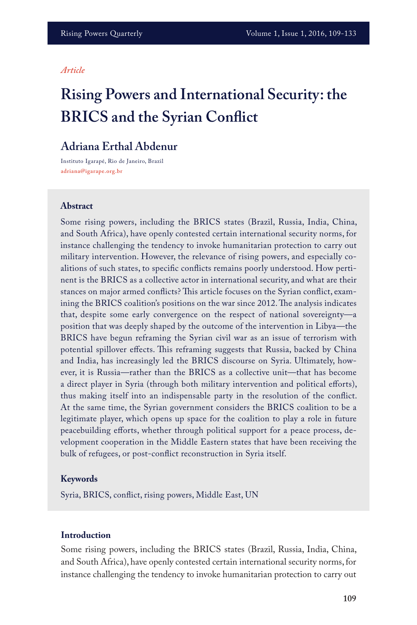## *Article*

# **Rising Powers and International Security: the BRICS and the Syrian Conflict**

# **Adriana Erthal Abdenur**

Instituto Igarapé, Rio de Janeiro, Brazil **adriana@igarape.org.br**

#### **Abstract**

Some rising powers, including the BRICS states (Brazil, Russia, India, China, and South Africa), have openly contested certain international security norms, for instance challenging the tendency to invoke humanitarian protection to carry out military intervention. However, the relevance of rising powers, and especially coalitions of such states, to specific conflicts remains poorly understood. How pertinent is the BRICS as a collective actor in international security, and what are their stances on major armed conflicts? This article focuses on the Syrian conflict, examining the BRICS coalition's positions on the war since 2012. The analysis indicates that, despite some early convergence on the respect of national sovereignty—a position that was deeply shaped by the outcome of the intervention in Libya—the BRICS have begun reframing the Syrian civil war as an issue of terrorism with potential spillover effects. This reframing suggests that Russia, backed by China and India, has increasingly led the BRICS discourse on Syria. Ultimately, however, it is Russia—rather than the BRICS as a collective unit—that has become a direct player in Syria (through both military intervention and political efforts), thus making itself into an indispensable party in the resolution of the conflict. At the same time, the Syrian government considers the BRICS coalition to be a legitimate player, which opens up space for the coalition to play a role in future peacebuilding efforts, whether through political support for a peace process, development cooperation in the Middle Eastern states that have been receiving the bulk of refugees, or post-conflict reconstruction in Syria itself.

#### **Keywords**

Syria, BRICS, conflict, rising powers, Middle East, UN

#### **Introduction**

Some rising powers, including the BRICS states (Brazil, Russia, India, China, and South Africa), have openly contested certain international security norms, for instance challenging the tendency to invoke humanitarian protection to carry out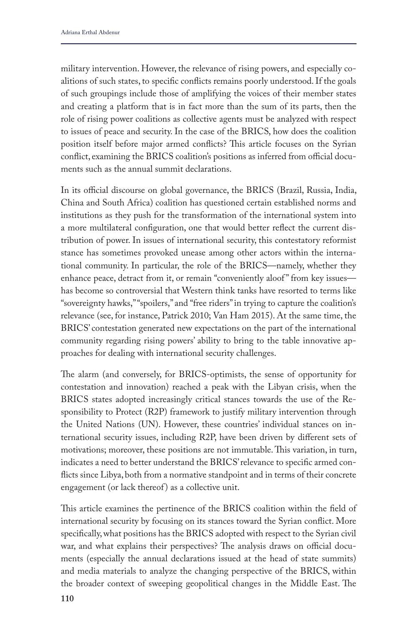military intervention. However, the relevance of rising powers, and especially coalitions of such states, to specific conflicts remains poorly understood. If the goals of such groupings include those of amplifying the voices of their member states and creating a platform that is in fact more than the sum of its parts, then the role of rising power coalitions as collective agents must be analyzed with respect to issues of peace and security. In the case of the BRICS, how does the coalition position itself before major armed conflicts? This article focuses on the Syrian conflict, examining the BRICS coalition's positions as inferred from official documents such as the annual summit declarations.

In its official discourse on global governance, the BRICS (Brazil, Russia, India, China and South Africa) coalition has questioned certain established norms and institutions as they push for the transformation of the international system into a more multilateral configuration, one that would better reflect the current distribution of power. In issues of international security, this contestatory reformist stance has sometimes provoked unease among other actors within the international community. In particular, the role of the BRICS—namely, whether they enhance peace, detract from it, or remain "conveniently aloof" from key issues has become so controversial that Western think tanks have resorted to terms like "sovereignty hawks," "spoilers," and "free riders" in trying to capture the coalition's relevance (see, for instance, Patrick 2010; Van Ham 2015). At the same time, the BRICS' contestation generated new expectations on the part of the international community regarding rising powers' ability to bring to the table innovative approaches for dealing with international security challenges.

The alarm (and conversely, for BRICS-optimists, the sense of opportunity for contestation and innovation) reached a peak with the Libyan crisis, when the BRICS states adopted increasingly critical stances towards the use of the Responsibility to Protect (R2P) framework to justify military intervention through the United Nations (UN). However, these countries' individual stances on international security issues, including R2P, have been driven by different sets of motivations; moreover, these positions are not immutable. This variation, in turn, indicates a need to better understand the BRICS' relevance to specific armed conflicts since Libya, both from a normative standpoint and in terms of their concrete engagement (or lack thereof) as a collective unit.

This article examines the pertinence of the BRICS coalition within the field of international security by focusing on its stances toward the Syrian conflict. More specifically, what positions has the BRICS adopted with respect to the Syrian civil war, and what explains their perspectives? The analysis draws on official documents (especially the annual declarations issued at the head of state summits) and media materials to analyze the changing perspective of the BRICS, within the broader context of sweeping geopolitical changes in the Middle East. The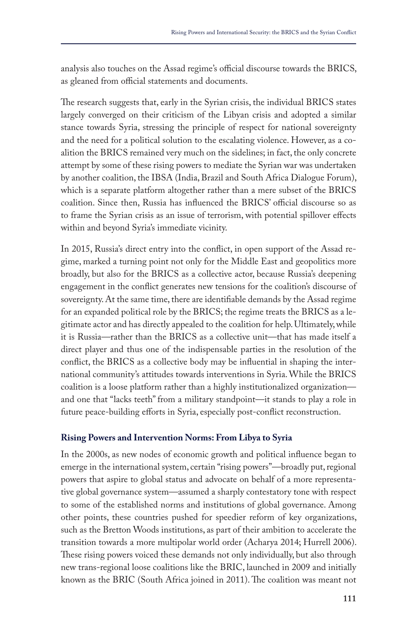analysis also touches on the Assad regime's official discourse towards the BRICS, as gleaned from official statements and documents.

The research suggests that, early in the Syrian crisis, the individual BRICS states largely converged on their criticism of the Libyan crisis and adopted a similar stance towards Syria, stressing the principle of respect for national sovereignty and the need for a political solution to the escalating violence. However, as a coalition the BRICS remained very much on the sidelines; in fact, the only concrete attempt by some of these rising powers to mediate the Syrian war was undertaken by another coalition, the IBSA (India, Brazil and South Africa Dialogue Forum), which is a separate platform altogether rather than a mere subset of the BRICS coalition. Since then, Russia has influenced the BRICS' official discourse so as to frame the Syrian crisis as an issue of terrorism, with potential spillover effects within and beyond Syria's immediate vicinity.

In 2015, Russia's direct entry into the conflict, in open support of the Assad regime, marked a turning point not only for the Middle East and geopolitics more broadly, but also for the BRICS as a collective actor, because Russia's deepening engagement in the conflict generates new tensions for the coalition's discourse of sovereignty. At the same time, there are identifiable demands by the Assad regime for an expanded political role by the BRICS; the regime treats the BRICS as a legitimate actor and has directly appealed to the coalition for help. Ultimately, while it is Russia—rather than the BRICS as a collective unit—that has made itself a direct player and thus one of the indispensable parties in the resolution of the conflict, the BRICS as a collective body may be influential in shaping the international community's attitudes towards interventions in Syria. While the BRICS coalition is a loose platform rather than a highly institutionalized organization and one that "lacks teeth" from a military standpoint—it stands to play a role in future peace-building efforts in Syria, especially post-conflict reconstruction.

# **Rising Powers and Intervention Norms: From Libya to Syria**

In the 2000s, as new nodes of economic growth and political influence began to emerge in the international system, certain "rising powers"—broadly put, regional powers that aspire to global status and advocate on behalf of a more representative global governance system—assumed a sharply contestatory tone with respect to some of the established norms and institutions of global governance. Among other points, these countries pushed for speedier reform of key organizations, such as the Bretton Woods institutions, as part of their ambition to accelerate the transition towards a more multipolar world order (Acharya 2014; Hurrell 2006). These rising powers voiced these demands not only individually, but also through new trans-regional loose coalitions like the BRIC, launched in 2009 and initially known as the BRIC (South Africa joined in 2011). The coalition was meant not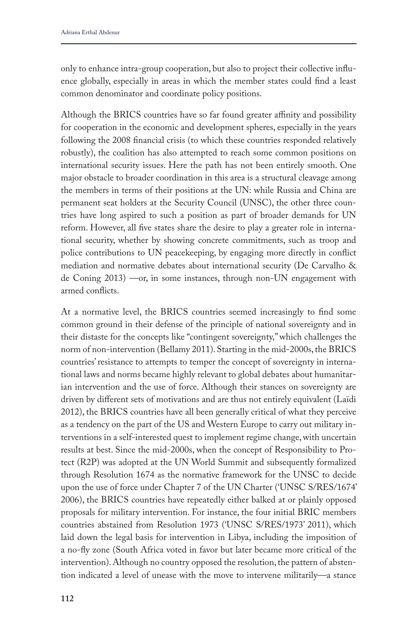only to enhance intra-group cooperation, but also to project their collective influence globally, especially in areas in which the member states could find a least common denominator and coordinate policy positions.

Although the BRICS countries have so far found greater affinity and possibility for cooperation in the economic and development spheres, especially in the years following the 2008 financial crisis (to which these countries responded relatively robustly), the coalition has also attempted to reach some common positions on international security issues. Here the path has not been entirely smooth. One major obstacle to broader coordination in this area is a structural cleavage among the members in terms of their positions at the UN: while Russia and China are permanent seat holders at the Security Council (UNSC), the other three countries have long aspired to such a position as part of broader demands for UN reform. However, all five states share the desire to play a greater role in international security, whether by showing concrete commitments, such as troop and police contributions to UN peacekeeping, by engaging more directly in conflict mediation and normative debates about international security (De Carvalho & de Coning 2013) —or, in some instances, through non-UN engagement with armed conflicts.

At a normative level, the BRICS countries seemed increasingly to find some common ground in their defense of the principle of national sovereignty and in their distaste for the concepts like "contingent sovereignty," which challenges the norm of non-intervention (Bellamy 2011). Starting in the mid-2000s, the BRICS countries' resistance to attempts to temper the concept of sovereignty in international laws and norms became highly relevant to global debates about humanitarian intervention and the use of force. Although their stances on sovereignty are driven by different sets of motivations and are thus not entirely equivalent (Laïdi 2012), the BRICS countries have all been generally critical of what they perceive as a tendency on the part of the US and Western Europe to carry out military interventions in a self-interested quest to implement regime change, with uncertain results at best. Since the mid-2000s, when the concept of Responsibility to Protect (R2P) was adopted at the UN World Summit and subsequently formalized through Resolution 1674 as the normative framework for the UNSC to decide upon the use of force under Chapter 7 of the UN Charter ('UNSC S/RES/1674' 2006), the BRICS countries have repeatedly either balked at or plainly opposed proposals for military intervention. For instance, the four initial BRIC members countries abstained from Resolution 1973 ('UNSC S/RES/1973' 2011), which laid down the legal basis for intervention in Libya, including the imposition of a no-fly zone (South Africa voted in favor but later became more critical of the intervention). Although no country opposed the resolution, the pattern of abstention indicated a level of unease with the move to intervene militarily—a stance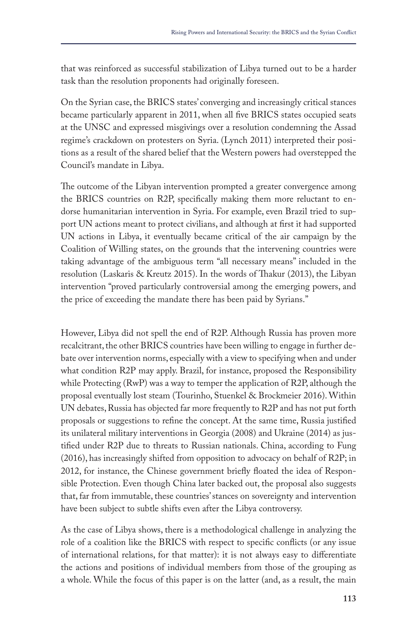that was reinforced as successful stabilization of Libya turned out to be a harder task than the resolution proponents had originally foreseen.

On the Syrian case, the BRICS states' converging and increasingly critical stances became particularly apparent in 2011, when all five BRICS states occupied seats at the UNSC and expressed misgivings over a resolution condemning the Assad regime's crackdown on protesters on Syria. (Lynch 2011) interpreted their positions as a result of the shared belief that the Western powers had overstepped the Council's mandate in Libya.

The outcome of the Libyan intervention prompted a greater convergence among the BRICS countries on R2P, specifically making them more reluctant to endorse humanitarian intervention in Syria. For example, even Brazil tried to support UN actions meant to protect civilians, and although at first it had supported UN actions in Libya, it eventually became critical of the air campaign by the Coalition of Willing states, on the grounds that the intervening countries were taking advantage of the ambiguous term "all necessary means" included in the resolution (Laskaris & Kreutz 2015). In the words of Thakur (2013), the Libyan intervention "proved particularly controversial among the emerging powers, and the price of exceeding the mandate there has been paid by Syrians."

However, Libya did not spell the end of R2P. Although Russia has proven more recalcitrant, the other BRICS countries have been willing to engage in further debate over intervention norms, especially with a view to specifying when and under what condition R2P may apply. Brazil, for instance, proposed the Responsibility while Protecting (RwP) was a way to temper the application of R2P, although the proposal eventually lost steam (Tourinho, Stuenkel & Brockmeier 2016). Within UN debates, Russia has objected far more frequently to R2P and has not put forth proposals or suggestions to refine the concept. At the same time, Russia justified its unilateral military interventions in Georgia (2008) and Ukraine (2014) as justified under R2P due to threats to Russian nationals. China, according to Fung (2016), has increasingly shifted from opposition to advocacy on behalf of R2P; in 2012, for instance, the Chinese government briefly floated the idea of Responsible Protection. Even though China later backed out, the proposal also suggests that, far from immutable, these countries' stances on sovereignty and intervention have been subject to subtle shifts even after the Libya controversy.

As the case of Libya shows, there is a methodological challenge in analyzing the role of a coalition like the BRICS with respect to specific conflicts (or any issue of international relations, for that matter): it is not always easy to differentiate the actions and positions of individual members from those of the grouping as a whole. While the focus of this paper is on the latter (and, as a result, the main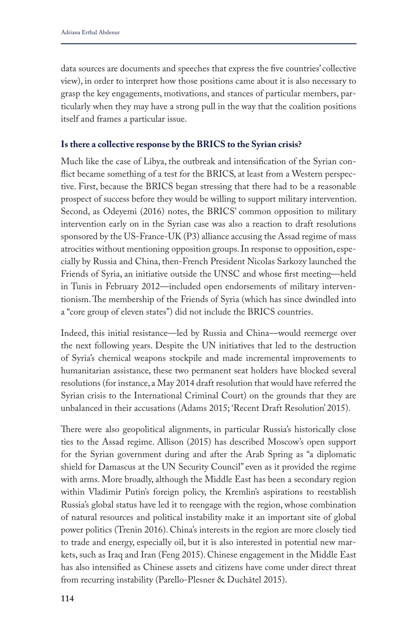data sources are documents and speeches that express the five countries' collective view), in order to interpret how those positions came about it is also necessary to grasp the key engagements, motivations, and stances of particular members, particularly when they may have a strong pull in the way that the coalition positions itself and frames a particular issue.

## **Is there a collective response by the BRICS to the Syrian crisis?**

Much like the case of Libya, the outbreak and intensification of the Syrian conflict became something of a test for the BRICS, at least from a Western perspective. First, because the BRICS began stressing that there had to be a reasonable prospect of success before they would be willing to support military intervention. Second, as Odeyemi (2016) notes, the BRICS' common opposition to military intervention early on in the Syrian case was also a reaction to draft resolutions sponsored by the US-France-UK (P3) alliance accusing the Assad regime of mass atrocities without mentioning opposition groups. In response to opposition, especially by Russia and China, then-French President Nicolas Sarkozy launched the Friends of Syria, an initiative outside the UNSC and whose first meeting—held in Tunis in February 2012—included open endorsements of military interventionism. The membership of the Friends of Syria (which has since dwindled into a "core group of eleven states") did not include the BRICS countries.

Indeed, this initial resistance—led by Russia and China—would reemerge over the next following years. Despite the UN initiatives that led to the destruction of Syria's chemical weapons stockpile and made incremental improvements to humanitarian assistance, these two permanent seat holders have blocked several resolutions (for instance, a May 2014 draft resolution that would have referred the Syrian crisis to the International Criminal Court) on the grounds that they are unbalanced in their accusations (Adams 2015; 'Recent Draft Resolution' 2015).

There were also geopolitical alignments, in particular Russia's historically close ties to the Assad regime. Allison (2015) has described Moscow's open support for the Syrian government during and after the Arab Spring as "a diplomatic shield for Damascus at the UN Security Council" even as it provided the regime with arms. More broadly, although the Middle East has been a secondary region within Vladimir Putin's foreign policy, the Kremlin's aspirations to reestablish Russia's global status have led it to reengage with the region, whose combination of natural resources and political instability make it an important site of global power politics (Trenin 2016). China's interests in the region are more closely tied to trade and energy, especially oil, but it is also interested in potential new markets, such as Iraq and Iran (Feng 2015). Chinese engagement in the Middle East has also intensified as Chinese assets and citizens have come under direct threat from recurring instability (Parello-Plesner & Duchâtel 2015).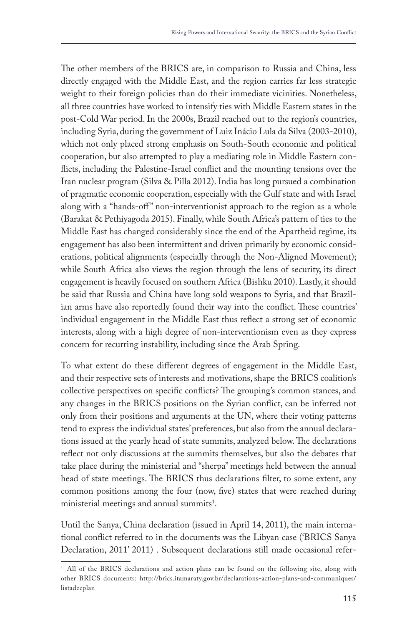The other members of the BRICS are, in comparison to Russia and China, less directly engaged with the Middle East, and the region carries far less strategic weight to their foreign policies than do their immediate vicinities. Nonetheless, all three countries have worked to intensify ties with Middle Eastern states in the post-Cold War period. In the 2000s, Brazil reached out to the region's countries, including Syria, during the government of Luiz Inácio Lula da Silva (2003-2010), which not only placed strong emphasis on South-South economic and political cooperation, but also attempted to play a mediating role in Middle Eastern conflicts, including the Palestine-Israel conflict and the mounting tensions over the Iran nuclear program (Silva & Pilla 2012). India has long pursued a combination of pragmatic economic cooperation, especially with the Gulf state and with Israel along with a "hands-off" non-interventionist approach to the region as a whole (Barakat & Pethiyagoda 2015). Finally, while South Africa's pattern of ties to the Middle East has changed considerably since the end of the Apartheid regime, its engagement has also been intermittent and driven primarily by economic considerations, political alignments (especially through the Non-Aligned Movement); while South Africa also views the region through the lens of security, its direct engagement is heavily focused on southern Africa (Bishku 2010). Lastly, it should be said that Russia and China have long sold weapons to Syria, and that Brazilian arms have also reportedly found their way into the conflict. These countries' individual engagement in the Middle East thus reflect a strong set of economic interests, along with a high degree of non-interventionism even as they express concern for recurring instability, including since the Arab Spring.

To what extent do these different degrees of engagement in the Middle East, and their respective sets of interests and motivations, shape the BRICS coalition's collective perspectives on specific conflicts? The grouping's common stances, and any changes in the BRICS positions on the Syrian conflict, can be inferred not only from their positions and arguments at the UN, where their voting patterns tend to express the individual states' preferences, but also from the annual declarations issued at the yearly head of state summits, analyzed below. The declarations reflect not only discussions at the summits themselves, but also the debates that take place during the ministerial and "sherpa" meetings held between the annual head of state meetings. The BRICS thus declarations filter, to some extent, any common positions among the four (now, five) states that were reached during  $ministerial$  meetings and annual summits<sup>1</sup>.

Until the Sanya, China declaration (issued in April 14, 2011), the main international conflict referred to in the documents was the Libyan case ('BRICS Sanya Declaration, 2011' 2011) . Subsequent declarations still made occasional refer-

<sup>&</sup>lt;sup>1</sup> All of the BRICS declarations and action plans can be found on the following site, along with other BRICS documents: http://brics.itamaraty.gov.br/declarations-action-plans-and-communiques/ listadecplan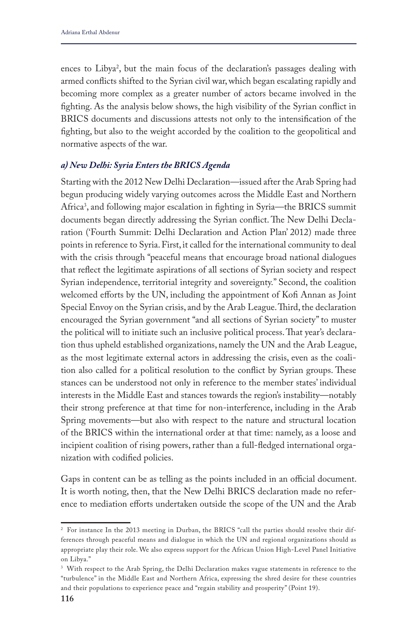ences to Libya2 , but the main focus of the declaration's passages dealing with armed conflicts shifted to the Syrian civil war, which began escalating rapidly and becoming more complex as a greater number of actors became involved in the fighting. As the analysis below shows, the high visibility of the Syrian conflict in BRICS documents and discussions attests not only to the intensification of the fighting, but also to the weight accorded by the coalition to the geopolitical and normative aspects of the war.

## *a) New Delhi: Syria Enters the BRICS Agenda*

Starting with the 2012 New Delhi Declaration—issued after the Arab Spring had begun producing widely varying outcomes across the Middle East and Northern Africa3 , and following major escalation in fighting in Syria—the BRICS summit documents began directly addressing the Syrian conflict. The New Delhi Declaration ('Fourth Summit: Delhi Declaration and Action Plan' 2012) made three points in reference to Syria. First, it called for the international community to deal with the crisis through "peaceful means that encourage broad national dialogues that reflect the legitimate aspirations of all sections of Syrian society and respect Syrian independence, territorial integrity and sovereignty." Second, the coalition welcomed efforts by the UN, including the appointment of Kofi Annan as Joint Special Envoy on the Syrian crisis, and by the Arab League. Third, the declaration encouraged the Syrian government "and all sections of Syrian society" to muster the political will to initiate such an inclusive political process. That year's declaration thus upheld established organizations, namely the UN and the Arab League, as the most legitimate external actors in addressing the crisis, even as the coalition also called for a political resolution to the conflict by Syrian groups. These stances can be understood not only in reference to the member states' individual interests in the Middle East and stances towards the region's instability—notably their strong preference at that time for non-interference, including in the Arab Spring movements—but also with respect to the nature and structural location of the BRICS within the international order at that time: namely, as a loose and incipient coalition of rising powers, rather than a full-fledged international organization with codified policies.

Gaps in content can be as telling as the points included in an official document. It is worth noting, then, that the New Delhi BRICS declaration made no reference to mediation efforts undertaken outside the scope of the UN and the Arab

<sup>&</sup>lt;sup>2</sup> For instance In the 2013 meeting in Durban, the BRICS "call the parties should resolve their differences through peaceful means and dialogue in which the UN and regional organizations should as appropriate play their role. We also express support for the African Union High-Level Panel Initiative on Libya."

<sup>&</sup>lt;sup>3</sup> With respect to the Arab Spring, the Delhi Declaration makes vague statements in reference to the "turbulence" in the Middle East and Northern Africa, expressing the shred desire for these countries and their populations to experience peace and "regain stability and prosperity" (Point 19).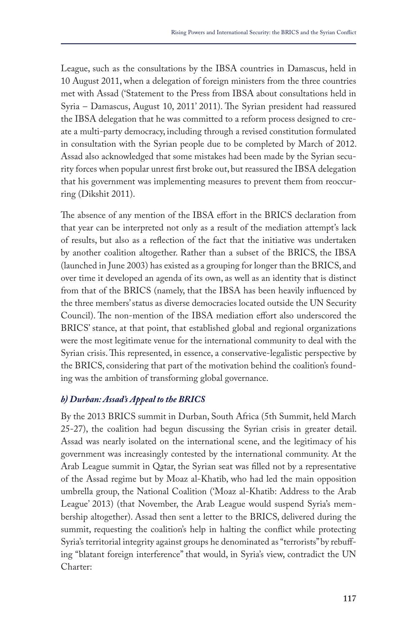League, such as the consultations by the IBSA countries in Damascus, held in 10 August 2011, when a delegation of foreign ministers from the three countries met with Assad ('Statement to the Press from IBSA about consultations held in Syria – Damascus, August 10, 2011' 2011). The Syrian president had reassured the IBSA delegation that he was committed to a reform process designed to create a multi-party democracy, including through a revised constitution formulated in consultation with the Syrian people due to be completed by March of 2012. Assad also acknowledged that some mistakes had been made by the Syrian security forces when popular unrest first broke out, but reassured the IBSA delegation that his government was implementing measures to prevent them from reoccurring (Dikshit 2011).

The absence of any mention of the IBSA effort in the BRICS declaration from that year can be interpreted not only as a result of the mediation attempt's lack of results, but also as a reflection of the fact that the initiative was undertaken by another coalition altogether. Rather than a subset of the BRICS, the IBSA (launched in June 2003) has existed as a grouping for longer than the BRICS, and over time it developed an agenda of its own, as well as an identity that is distinct from that of the BRICS (namely, that the IBSA has been heavily influenced by the three members' status as diverse democracies located outside the UN Security Council). The non-mention of the IBSA mediation effort also underscored the BRICS' stance, at that point, that established global and regional organizations were the most legitimate venue for the international community to deal with the Syrian crisis. This represented, in essence, a conservative-legalistic perspective by the BRICS, considering that part of the motivation behind the coalition's founding was the ambition of transforming global governance.

# *b) Durban: Assad's Appeal to the BRICS*

By the 2013 BRICS summit in Durban, South Africa (5th Summit, held March 25-27), the coalition had begun discussing the Syrian crisis in greater detail. Assad was nearly isolated on the international scene, and the legitimacy of his government was increasingly contested by the international community. At the Arab League summit in Qatar, the Syrian seat was filled not by a representative of the Assad regime but by Moaz al-Khatib, who had led the main opposition umbrella group, the National Coalition ('Moaz al-Khatib: Address to the Arab League' 2013) (that November, the Arab League would suspend Syria's membership altogether). Assad then sent a letter to the BRICS, delivered during the summit, requesting the coalition's help in halting the conflict while protecting Syria's territorial integrity against groups he denominated as "terrorists" by rebuffing "blatant foreign interference" that would, in Syria's view, contradict the UN Charter: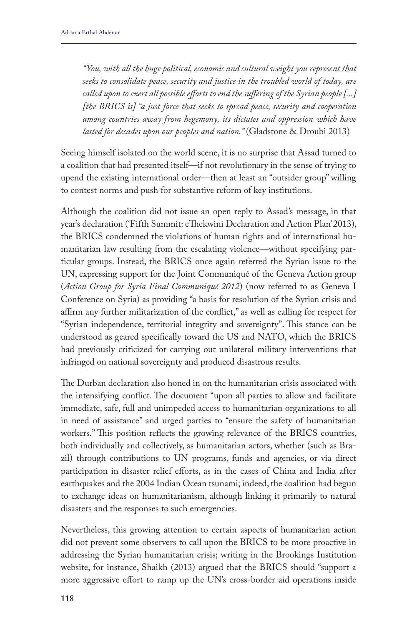*"You, with all the huge political, economic and cultural weight you represent that seeks to consolidate peace, security and justice in the troubled world of today, are called upon to exert all possible efforts to end the suffering of the Syrian people [...] [the BRICS is] "a just force that seeks to spread peace, security and cooperation among countries away from hegemony, its dictates and oppression which have lasted for decades upon our peoples and nation."* (Gladstone & Droubi 2013)

Seeing himself isolated on the world scene, it is no surprise that Assad turned to a coalition that had presented itself—if not revolutionary in the sense of trying to upend the existing international order—then at least an "outsider group" willing to contest norms and push for substantive reform of key institutions.

Although the coalition did not issue an open reply to Assad's message, in that year's declaration ('Fifth Summit: eThekwini Declaration and Action Plan' 2013), the BRICS condemned the violations of human rights and of international humanitarian law resulting from the escalating violence—without specifying particular groups. Instead, the BRICS once again referred the Syrian issue to the UN, expressing support for the Joint Communiqué of the Geneva Action group (*Action Group for Syria Final Communiqué 2012*) (now referred to as Geneva I Conference on Syria) as providing "a basis for resolution of the Syrian crisis and affirm any further militarization of the conflict," as well as calling for respect for "Syrian independence, territorial integrity and sovereignty". This stance can be understood as geared specifically toward the US and NATO, which the BRICS had previously criticized for carrying out unilateral military interventions that infringed on national sovereignty and produced disastrous results.

The Durban declaration also honed in on the humanitarian crisis associated with the intensifying conflict. The document "upon all parties to allow and facilitate immediate, safe, full and unimpeded access to humanitarian organizations to all in need of assistance" and urged parties to "ensure the safety of humanitarian workers." This position reflects the growing relevance of the BRICS countries, both individually and collectively, as humanitarian actors, whether (such as Brazil) through contributions to UN programs, funds and agencies, or via direct participation in disaster relief efforts, as in the cases of China and India after earthquakes and the 2004 Indian Ocean tsunami; indeed, the coalition had begun to exchange ideas on humanitarianism, although linking it primarily to natural disasters and the responses to such emergencies.

Nevertheless, this growing attention to certain aspects of humanitarian action did not prevent some observers to call upon the BRICS to be more proactive in addressing the Syrian humanitarian crisis; writing in the Brookings Institution website, for instance, Shaikh (2013) argued that the BRICS should "support a more aggressive effort to ramp up the UN's cross-border aid operations inside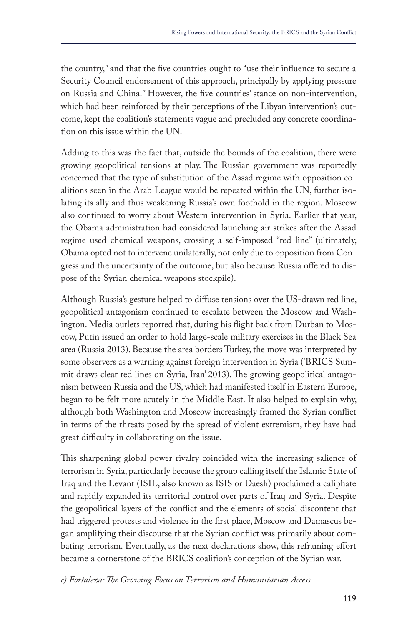the country," and that the five countries ought to "use their influence to secure a Security Council endorsement of this approach, principally by applying pressure on Russia and China." However, the five countries' stance on non-intervention, which had been reinforced by their perceptions of the Libyan intervention's outcome, kept the coalition's statements vague and precluded any concrete coordination on this issue within the UN.

Adding to this was the fact that, outside the bounds of the coalition, there were growing geopolitical tensions at play. The Russian government was reportedly concerned that the type of substitution of the Assad regime with opposition coalitions seen in the Arab League would be repeated within the UN, further isolating its ally and thus weakening Russia's own foothold in the region. Moscow also continued to worry about Western intervention in Syria. Earlier that year, the Obama administration had considered launching air strikes after the Assad regime used chemical weapons, crossing a self-imposed "red line" (ultimately, Obama opted not to intervene unilaterally, not only due to opposition from Congress and the uncertainty of the outcome, but also because Russia offered to dispose of the Syrian chemical weapons stockpile).

Although Russia's gesture helped to diffuse tensions over the US-drawn red line, geopolitical antagonism continued to escalate between the Moscow and Washington. Media outlets reported that, during his flight back from Durban to Moscow, Putin issued an order to hold large-scale military exercises in the Black Sea area (Russia 2013). Because the area borders Turkey, the move was interpreted by some observers as a warning against foreign intervention in Syria ('BRICS Summit draws clear red lines on Syria, Iran' 2013). The growing geopolitical antagonism between Russia and the US, which had manifested itself in Eastern Europe, began to be felt more acutely in the Middle East. It also helped to explain why, although both Washington and Moscow increasingly framed the Syrian conflict in terms of the threats posed by the spread of violent extremism, they have had great difficulty in collaborating on the issue.

This sharpening global power rivalry coincided with the increasing salience of terrorism in Syria, particularly because the group calling itself the Islamic State of Iraq and the Levant (ISIL, also known as ISIS or Daesh) proclaimed a caliphate and rapidly expanded its territorial control over parts of Iraq and Syria. Despite the geopolitical layers of the conflict and the elements of social discontent that had triggered protests and violence in the first place, Moscow and Damascus began amplifying their discourse that the Syrian conflict was primarily about combating terrorism. Eventually, as the next declarations show, this reframing effort became a cornerstone of the BRICS coalition's conception of the Syrian war.

*c) Fortaleza: The Growing Focus on Terrorism and Humanitarian Access*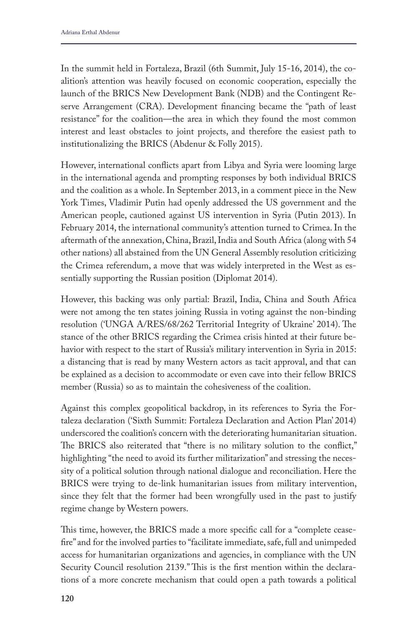In the summit held in Fortaleza, Brazil (6th Summit, July 15-16, 2014), the coalition's attention was heavily focused on economic cooperation, especially the launch of the BRICS New Development Bank (NDB) and the Contingent Reserve Arrangement (CRA). Development financing became the "path of least resistance" for the coalition—the area in which they found the most common interest and least obstacles to joint projects, and therefore the easiest path to institutionalizing the BRICS (Abdenur & Folly 2015).

However, international conflicts apart from Libya and Syria were looming large in the international agenda and prompting responses by both individual BRICS and the coalition as a whole. In September 2013, in a comment piece in the New York Times, Vladimir Putin had openly addressed the US government and the American people, cautioned against US intervention in Syria (Putin 2013). In February 2014, the international community's attention turned to Crimea. In the aftermath of the annexation, China, Brazil, India and South Africa (along with 54 other nations) all abstained from the UN General Assembly resolution criticizing the Crimea referendum, a move that was widely interpreted in the West as essentially supporting the Russian position (Diplomat 2014).

However, this backing was only partial: Brazil, India, China and South Africa were not among the ten states joining Russia in voting against the non-binding resolution ('UNGA A/RES/68/262 Territorial Integrity of Ukraine' 2014). The stance of the other BRICS regarding the Crimea crisis hinted at their future behavior with respect to the start of Russia's military intervention in Syria in 2015: a distancing that is read by many Western actors as tacit approval, and that can be explained as a decision to accommodate or even cave into their fellow BRICS member (Russia) so as to maintain the cohesiveness of the coalition.

Against this complex geopolitical backdrop, in its references to Syria the Fortaleza declaration ('Sixth Summit: Fortaleza Declaration and Action Plan' 2014) underscored the coalition's concern with the deteriorating humanitarian situation. The BRICS also reiterated that "there is no military solution to the conflict," highlighting "the need to avoid its further militarization" and stressing the necessity of a political solution through national dialogue and reconciliation. Here the BRICS were trying to de-link humanitarian issues from military intervention, since they felt that the former had been wrongfully used in the past to justify regime change by Western powers.

This time, however, the BRICS made a more specific call for a "complete ceasefire" and for the involved parties to "facilitate immediate, safe, full and unimpeded access for humanitarian organizations and agencies, in compliance with the UN Security Council resolution 2139." This is the first mention within the declarations of a more concrete mechanism that could open a path towards a political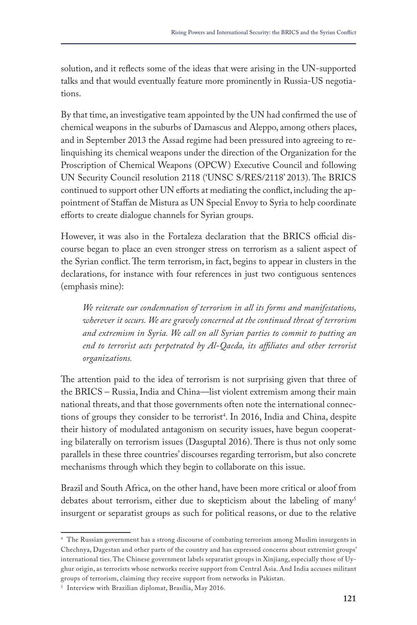solution, and it reflects some of the ideas that were arising in the UN-supported talks and that would eventually feature more prominently in Russia-US negotiations.

By that time, an investigative team appointed by the UN had confirmed the use of chemical weapons in the suburbs of Damascus and Aleppo, among others places, and in September 2013 the Assad regime had been pressured into agreeing to relinquishing its chemical weapons under the direction of the Organization for the Proscription of Chemical Weapons (OPCW) Executive Council and following UN Security Council resolution 2118 ('UNSC S/RES/2118' 2013). The BRICS continued to support other UN efforts at mediating the conflict, including the appointment of Staffan de Mistura as UN Special Envoy to Syria to help coordinate efforts to create dialogue channels for Syrian groups.

However, it was also in the Fortaleza declaration that the BRICS official discourse began to place an even stronger stress on terrorism as a salient aspect of the Syrian conflict. The term terrorism, in fact, begins to appear in clusters in the declarations, for instance with four references in just two contiguous sentences (emphasis mine):

*We reiterate our condemnation of terrorism in all its forms and manifestations, wherever it occurs. We are gravely concerned at the continued threat of terrorism and extremism in Syria. We call on all Syrian parties to commit to putting an*  end to terrorist acts perpetrated by Al-Qaeda, its affiliates and other terrorist *organizations.*

The attention paid to the idea of terrorism is not surprising given that three of the BRICS – Russia, India and China—list violent extremism among their main national threats, and that those governments often note the international connections of groups they consider to be terrorist<sup>4</sup>. In 2016, India and China, despite their history of modulated antagonism on security issues, have begun cooperating bilaterally on terrorism issues (Dasguptal 2016). There is thus not only some parallels in these three countries' discourses regarding terrorism, but also concrete mechanisms through which they begin to collaborate on this issue.

Brazil and South Africa, on the other hand, have been more critical or aloof from debates about terrorism, either due to skepticism about the labeling of many<sup>5</sup> insurgent or separatist groups as such for political reasons, or due to the relative

<sup>4</sup> The Russian government has a strong discourse of combating terrorism among Muslim insurgents in Chechnya, Dagestan and other parts of the country and has expressed concerns about extremist groups' international ties. The Chinese government labels separatist groups in Xinjiang, especially those of Uyghur origin, as terrorists whose networks receive support from Central Asia. And India accuses militant groups of terrorism, claiming they receive support from networks in Pakistan.

<sup>5</sup> Interview with Brazilian diplomat, Brasília, May 2016.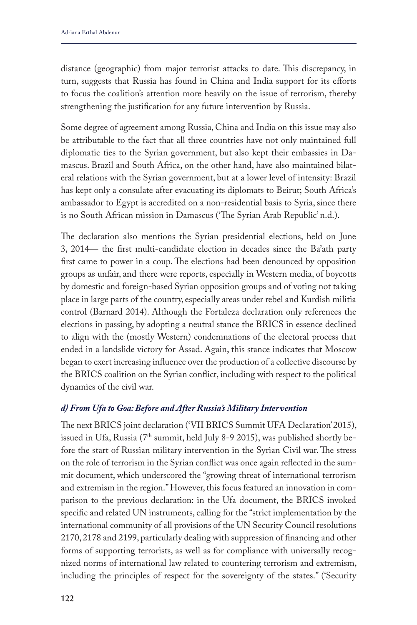distance (geographic) from major terrorist attacks to date. This discrepancy, in turn, suggests that Russia has found in China and India support for its efforts to focus the coalition's attention more heavily on the issue of terrorism, thereby strengthening the justification for any future intervention by Russia.

Some degree of agreement among Russia, China and India on this issue may also be attributable to the fact that all three countries have not only maintained full diplomatic ties to the Syrian government, but also kept their embassies in Damascus. Brazil and South Africa, on the other hand, have also maintained bilateral relations with the Syrian government, but at a lower level of intensity: Brazil has kept only a consulate after evacuating its diplomats to Beirut; South Africa's ambassador to Egypt is accredited on a non-residential basis to Syria, since there is no South African mission in Damascus ('The Syrian Arab Republic' n.d.).

The declaration also mentions the Syrian presidential elections, held on June 3, 2014— the first multi-candidate election in decades since the Ba'ath party first came to power in a coup. The elections had been denounced by opposition groups as unfair, and there were reports, especially in Western media, of boycotts by domestic and foreign-based Syrian opposition groups and of voting not taking place in large parts of the country, especially areas under rebel and Kurdish militia control (Barnard 2014). Although the Fortaleza declaration only references the elections in passing, by adopting a neutral stance the BRICS in essence declined to align with the (mostly Western) condemnations of the electoral process that ended in a landslide victory for Assad. Again, this stance indicates that Moscow began to exert increasing influence over the production of a collective discourse by the BRICS coalition on the Syrian conflict, including with respect to the political dynamics of the civil war.

## *d) From Ufa to Goa: Before and After Russia's Military Intervention*

The next BRICS joint declaration ('VII BRICS Summit UFA Declaration' 2015), issued in Ufa, Russia (7<sup>th</sup> summit, held July 8-9 2015), was published shortly before the start of Russian military intervention in the Syrian Civil war. The stress on the role of terrorism in the Syrian conflict was once again reflected in the summit document, which underscored the "growing threat of international terrorism and extremism in the region." However, this focus featured an innovation in comparison to the previous declaration: in the Ufa document, the BRICS invoked specific and related UN instruments, calling for the "strict implementation by the international community of all provisions of the UN Security Council resolutions 2170, 2178 and 2199, particularly dealing with suppression of financing and other forms of supporting terrorists, as well as for compliance with universally recognized norms of international law related to countering terrorism and extremism, including the principles of respect for the sovereignty of the states." ('Security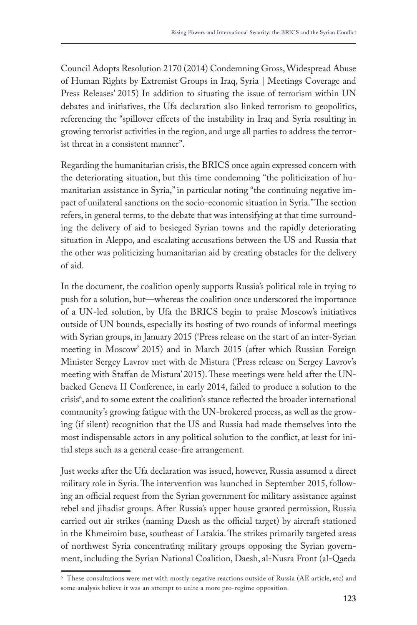Council Adopts Resolution 2170 (2014) Condemning Gross, Widespread Abuse of Human Rights by Extremist Groups in Iraq, Syria | Meetings Coverage and Press Releases' 2015) In addition to situating the issue of terrorism within UN debates and initiatives, the Ufa declaration also linked terrorism to geopolitics, referencing the "spillover effects of the instability in Iraq and Syria resulting in growing terrorist activities in the region, and urge all parties to address the terrorist threat in a consistent manner".

Regarding the humanitarian crisis, the BRICS once again expressed concern with the deteriorating situation, but this time condemning "the politicization of humanitarian assistance in Syria," in particular noting "the continuing negative impact of unilateral sanctions on the socio-economic situation in Syria." The section refers, in general terms, to the debate that was intensifying at that time surrounding the delivery of aid to besieged Syrian towns and the rapidly deteriorating situation in Aleppo, and escalating accusations between the US and Russia that the other was politicizing humanitarian aid by creating obstacles for the delivery of aid.

In the document, the coalition openly supports Russia's political role in trying to push for a solution, but—whereas the coalition once underscored the importance of a UN-led solution, by Ufa the BRICS begin to praise Moscow's initiatives outside of UN bounds, especially its hosting of two rounds of informal meetings with Syrian groups, in January 2015 ('Press release on the start of an inter-Syrian meeting in Moscow' 2015) and in March 2015 (after which Russian Foreign Minister Sergey Lavrov met with de Mistura ('Press release on Sergey Lavrov's meeting with Staffan de Mistura' 2015). These meetings were held after the UNbacked Geneva II Conference, in early 2014, failed to produce a solution to the crisis<sup>6</sup>, and to some extent the coalition's stance reflected the broader international community's growing fatigue with the UN-brokered process, as well as the growing (if silent) recognition that the US and Russia had made themselves into the most indispensable actors in any political solution to the conflict, at least for initial steps such as a general cease-fire arrangement.

Just weeks after the Ufa declaration was issued, however, Russia assumed a direct military role in Syria. The intervention was launched in September 2015, following an official request from the Syrian government for military assistance against rebel and jihadist groups. After Russia's upper house granted permission, Russia carried out air strikes (naming Daesh as the official target) by aircraft stationed in the Khmeimim base, southeast of Latakia. The strikes primarily targeted areas of northwest Syria concentrating military groups opposing the Syrian government, including the Syrian National Coalition, Daesh, al-Nusra Front (al-Qaeda

<sup>6</sup> These consultations were met with mostly negative reactions outside of Russia (AE article, etc) and some analysis believe it was an attempt to unite a more pro-regime opposition.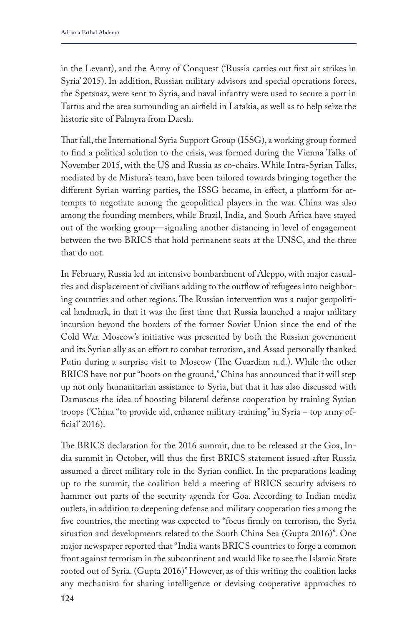in the Levant), and the Army of Conquest ('Russia carries out first air strikes in Syria' 2015). In addition, Russian military advisors and special operations forces, the Spetsnaz, were sent to Syria, and naval infantry were used to secure a port in Tartus and the area surrounding an airfield in Latakia, as well as to help seize the historic site of Palmyra from Daesh.

That fall, the International Syria Support Group (ISSG), a working group formed to find a political solution to the crisis, was formed during the Vienna Talks of November 2015, with the US and Russia as co-chairs. While Intra-Syrian Talks, mediated by de Mistura's team, have been tailored towards bringing together the different Syrian warring parties, the ISSG became, in effect, a platform for attempts to negotiate among the geopolitical players in the war. China was also among the founding members, while Brazil, India, and South Africa have stayed out of the working group—signaling another distancing in level of engagement between the two BRICS that hold permanent seats at the UNSC, and the three that do not.

In February, Russia led an intensive bombardment of Aleppo, with major casualties and displacement of civilians adding to the outflow of refugees into neighboring countries and other regions. The Russian intervention was a major geopolitical landmark, in that it was the first time that Russia launched a major military incursion beyond the borders of the former Soviet Union since the end of the Cold War. Moscow's initiative was presented by both the Russian government and its Syrian ally as an effort to combat terrorism, and Assad personally thanked Putin during a surprise visit to Moscow (The Guardian n.d.). While the other BRICS have not put "boots on the ground," China has announced that it will step up not only humanitarian assistance to Syria, but that it has also discussed with Damascus the idea of boosting bilateral defense cooperation by training Syrian troops ('China "to provide aid, enhance military training" in Syria – top army official' 2016).

The BRICS declaration for the 2016 summit, due to be released at the Goa, India summit in October, will thus the first BRICS statement issued after Russia assumed a direct military role in the Syrian conflict. In the preparations leading up to the summit, the coalition held a meeting of BRICS security advisers to hammer out parts of the security agenda for Goa. According to Indian media outlets, in addition to deepening defense and military cooperation ties among the five countries, the meeting was expected to "focus firmly on terrorism, the Syria situation and developments related to the South China Sea (Gupta 2016)". One major newspaper reported that "India wants BRICS countries to forge a common front against terrorism in the subcontinent and would like to see the Islamic State rooted out of Syria. (Gupta 2016)" However, as of this writing the coalition lacks any mechanism for sharing intelligence or devising cooperative approaches to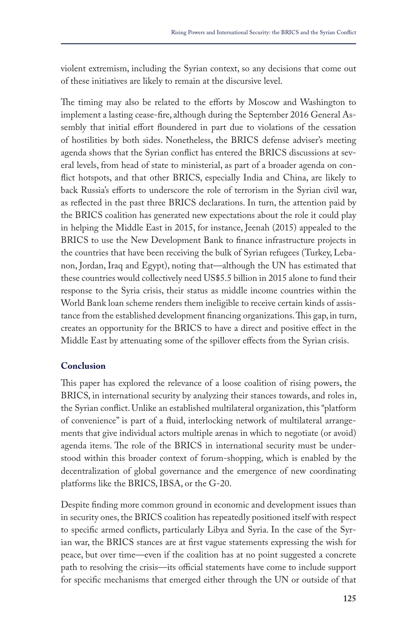violent extremism, including the Syrian context, so any decisions that come out of these initiatives are likely to remain at the discursive level.

The timing may also be related to the efforts by Moscow and Washington to implement a lasting cease-fire, although during the September 2016 General Assembly that initial effort floundered in part due to violations of the cessation of hostilities by both sides. Nonetheless, the BRICS defense adviser's meeting agenda shows that the Syrian conflict has entered the BRICS discussions at several levels, from head of state to ministerial, as part of a broader agenda on conflict hotspots, and that other BRICS, especially India and China, are likely to back Russia's efforts to underscore the role of terrorism in the Syrian civil war, as reflected in the past three BRICS declarations. In turn, the attention paid by the BRICS coalition has generated new expectations about the role it could play in helping the Middle East in 2015, for instance, Jeenah (2015) appealed to the BRICS to use the New Development Bank to finance infrastructure projects in the countries that have been receiving the bulk of Syrian refugees (Turkey, Lebanon, Jordan, Iraq and Egypt), noting that—although the UN has estimated that these countries would collectively need US\$5.5 billion in 2015 alone to fund their response to the Syria crisis, their status as middle income countries within the World Bank loan scheme renders them ineligible to receive certain kinds of assistance from the established development financing organizations. This gap, in turn, creates an opportunity for the BRICS to have a direct and positive effect in the Middle East by attenuating some of the spillover effects from the Syrian crisis.

# **Conclusion**

This paper has explored the relevance of a loose coalition of rising powers, the BRICS, in international security by analyzing their stances towards, and roles in, the Syrian conflict. Unlike an established multilateral organization, this "platform of convenience" is part of a fluid, interlocking network of multilateral arrangements that give individual actors multiple arenas in which to negotiate (or avoid) agenda items. The role of the BRICS in international security must be understood within this broader context of forum-shopping, which is enabled by the decentralization of global governance and the emergence of new coordinating platforms like the BRICS, IBSA, or the G-20.

Despite finding more common ground in economic and development issues than in security ones, the BRICS coalition has repeatedly positioned itself with respect to specific armed conflicts, particularly Libya and Syria. In the case of the Syrian war, the BRICS stances are at first vague statements expressing the wish for peace, but over time—even if the coalition has at no point suggested a concrete path to resolving the crisis—its official statements have come to include support for specific mechanisms that emerged either through the UN or outside of that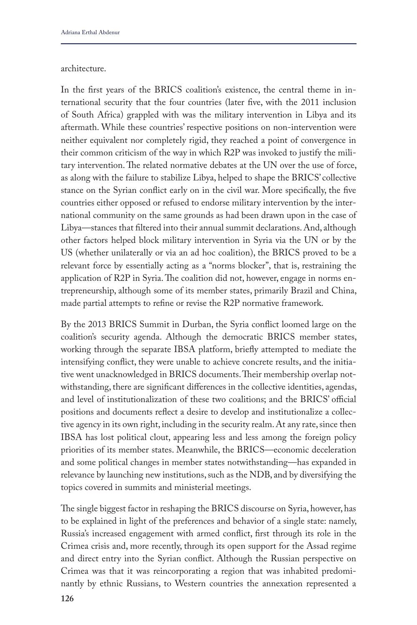#### architecture.

In the first years of the BRICS coalition's existence, the central theme in international security that the four countries (later five, with the 2011 inclusion of South Africa) grappled with was the military intervention in Libya and its aftermath. While these countries' respective positions on non-intervention were neither equivalent nor completely rigid, they reached a point of convergence in their common criticism of the way in which R2P was invoked to justify the military intervention. The related normative debates at the UN over the use of force, as along with the failure to stabilize Libya, helped to shape the BRICS' collective stance on the Syrian conflict early on in the civil war. More specifically, the five countries either opposed or refused to endorse military intervention by the international community on the same grounds as had been drawn upon in the case of Libya—stances that filtered into their annual summit declarations. And, although other factors helped block military intervention in Syria via the UN or by the US (whether unilaterally or via an ad hoc coalition), the BRICS proved to be a relevant force by essentially acting as a "norms blocker", that is, restraining the application of R2P in Syria. The coalition did not, however, engage in norms entrepreneurship, although some of its member states, primarily Brazil and China, made partial attempts to refine or revise the R2P normative framework.

By the 2013 BRICS Summit in Durban, the Syria conflict loomed large on the coalition's security agenda. Although the democratic BRICS member states, working through the separate IBSA platform, briefly attempted to mediate the intensifying conflict, they were unable to achieve concrete results, and the initiative went unacknowledged in BRICS documents. Their membership overlap notwithstanding, there are significant differences in the collective identities, agendas, and level of institutionalization of these two coalitions; and the BRICS' official positions and documents reflect a desire to develop and institutionalize a collective agency in its own right, including in the security realm. At any rate, since then IBSA has lost political clout, appearing less and less among the foreign policy priorities of its member states. Meanwhile, the BRICS—economic deceleration and some political changes in member states notwithstanding—has expanded in relevance by launching new institutions, such as the NDB, and by diversifying the topics covered in summits and ministerial meetings.

The single biggest factor in reshaping the BRICS discourse on Syria, however, has to be explained in light of the preferences and behavior of a single state: namely, Russia's increased engagement with armed conflict, first through its role in the Crimea crisis and, more recently, through its open support for the Assad regime and direct entry into the Syrian conflict. Although the Russian perspective on Crimea was that it was reincorporating a region that was inhabited predominantly by ethnic Russians, to Western countries the annexation represented a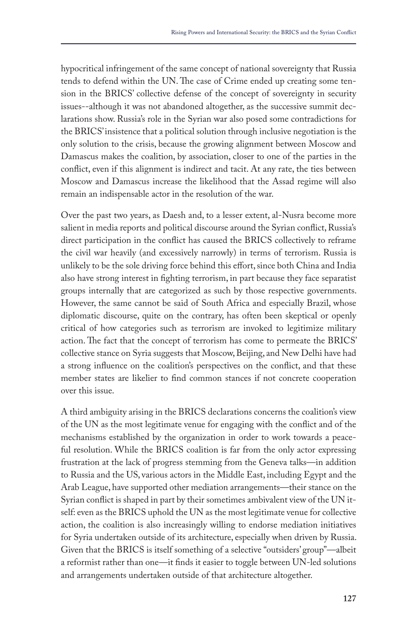hypocritical infringement of the same concept of national sovereignty that Russia tends to defend within the UN. The case of Crime ended up creating some tension in the BRICS' collective defense of the concept of sovereignty in security issues--although it was not abandoned altogether, as the successive summit declarations show. Russia's role in the Syrian war also posed some contradictions for the BRICS' insistence that a political solution through inclusive negotiation is the only solution to the crisis, because the growing alignment between Moscow and Damascus makes the coalition, by association, closer to one of the parties in the conflict, even if this alignment is indirect and tacit. At any rate, the ties between Moscow and Damascus increase the likelihood that the Assad regime will also remain an indispensable actor in the resolution of the war.

Over the past two years, as Daesh and, to a lesser extent, al-Nusra become more salient in media reports and political discourse around the Syrian conflict, Russia's direct participation in the conflict has caused the BRICS collectively to reframe the civil war heavily (and excessively narrowly) in terms of terrorism. Russia is unlikely to be the sole driving force behind this effort, since both China and India also have strong interest in fighting terrorism, in part because they face separatist groups internally that are categorized as such by those respective governments. However, the same cannot be said of South Africa and especially Brazil, whose diplomatic discourse, quite on the contrary, has often been skeptical or openly critical of how categories such as terrorism are invoked to legitimize military action. The fact that the concept of terrorism has come to permeate the BRICS' collective stance on Syria suggests that Moscow, Beijing, and New Delhi have had a strong influence on the coalition's perspectives on the conflict, and that these member states are likelier to find common stances if not concrete cooperation over this issue.

A third ambiguity arising in the BRICS declarations concerns the coalition's view of the UN as the most legitimate venue for engaging with the conflict and of the mechanisms established by the organization in order to work towards a peaceful resolution. While the BRICS coalition is far from the only actor expressing frustration at the lack of progress stemming from the Geneva talks—in addition to Russia and the US, various actors in the Middle East, including Egypt and the Arab League, have supported other mediation arrangements—their stance on the Syrian conflict is shaped in part by their sometimes ambivalent view of the UN itself: even as the BRICS uphold the UN as the most legitimate venue for collective action, the coalition is also increasingly willing to endorse mediation initiatives for Syria undertaken outside of its architecture, especially when driven by Russia. Given that the BRICS is itself something of a selective "outsiders' group"—albeit a reformist rather than one—it finds it easier to toggle between UN-led solutions and arrangements undertaken outside of that architecture altogether.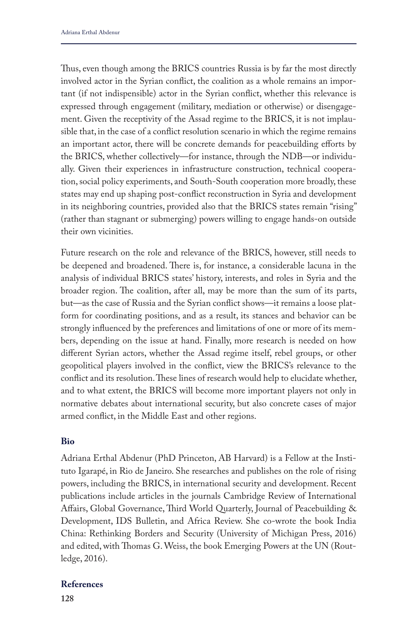Thus, even though among the BRICS countries Russia is by far the most directly involved actor in the Syrian conflict, the coalition as a whole remains an important (if not indispensible) actor in the Syrian conflict, whether this relevance is expressed through engagement (military, mediation or otherwise) or disengagement. Given the receptivity of the Assad regime to the BRICS, it is not implausible that, in the case of a conflict resolution scenario in which the regime remains an important actor, there will be concrete demands for peacebuilding efforts by the BRICS, whether collectively—for instance, through the NDB—or individually. Given their experiences in infrastructure construction, technical cooperation, social policy experiments, and South-South cooperation more broadly, these states may end up shaping post-conflict reconstruction in Syria and development in its neighboring countries, provided also that the BRICS states remain "rising" (rather than stagnant or submerging) powers willing to engage hands-on outside their own vicinities.

Future research on the role and relevance of the BRICS, however, still needs to be deepened and broadened. There is, for instance, a considerable lacuna in the analysis of individual BRICS states' history, interests, and roles in Syria and the broader region. The coalition, after all, may be more than the sum of its parts, but—as the case of Russia and the Syrian conflict shows—it remains a loose platform for coordinating positions, and as a result, its stances and behavior can be strongly influenced by the preferences and limitations of one or more of its members, depending on the issue at hand. Finally, more research is needed on how different Syrian actors, whether the Assad regime itself, rebel groups, or other geopolitical players involved in the conflict, view the BRICS's relevance to the conflict and its resolution. These lines of research would help to elucidate whether, and to what extent, the BRICS will become more important players not only in normative debates about international security, but also concrete cases of major armed conflict, in the Middle East and other regions.

### **Bio**

Adriana Erthal Abdenur (PhD Princeton, AB Harvard) is a Fellow at the Instituto Igarapé, in Rio de Janeiro. She researches and publishes on the role of rising powers, including the BRICS, in international security and development. Recent publications include articles in the journals Cambridge Review of International Affairs, Global Governance, Third World Quarterly, Journal of Peacebuilding & Development, IDS Bulletin, and Africa Review. She co-wrote the book India China: Rethinking Borders and Security (University of Michigan Press, 2016) and edited, with Thomas G. Weiss, the book Emerging Powers at the UN (Routledge, 2016).

#### **References**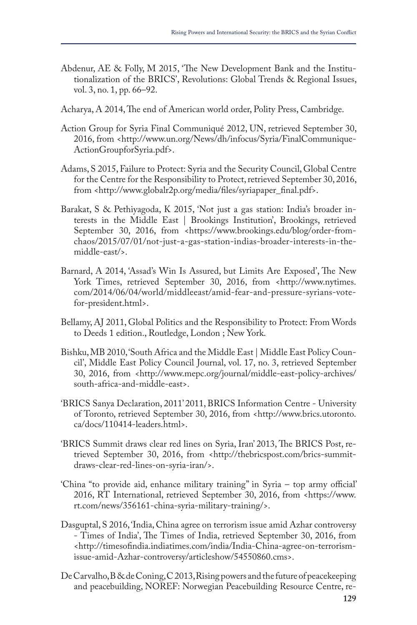- Abdenur, AE & Folly, M 2015, 'The New Development Bank and the Institutionalization of the BRICS', Revolutions: Global Trends & Regional Issues, vol. 3, no. 1, pp. 66–92.
- Acharya, A 2014, The end of American world order, Polity Press, Cambridge.
- Action Group for Syria Final Communiqué 2012, UN, retrieved September 30, 2016, from <http://www.un.org/News/dh/infocus/Syria/FinalCommunique-ActionGroupforSyria.pdf>.
- Adams, S 2015, Failure to Protect: Syria and the Security Council, Global Centre for the Centre for the Responsibility to Protect, retrieved September 30, 2016, from <http://www.globalr2p.org/media/files/syriapaper\_final.pdf>.
- Barakat, S & Pethiyagoda, K 2015, 'Not just a gas station: India's broader interests in the Middle East | Brookings Institution', Brookings, retrieved September 30, 2016, from <https://www.brookings.edu/blog/order-fromchaos/2015/07/01/not-just-a-gas-station-indias-broader-interests-in-themiddle-east/>.
- Barnard, A 2014, 'Assad's Win Is Assured, but Limits Are Exposed', The New York Times, retrieved September 30, 2016, from <http://www.nytimes. com/2014/06/04/world/middleeast/amid-fear-and-pressure-syrians-votefor-president.html>.
- Bellamy, AJ 2011, Global Politics and the Responsibility to Protect: From Words to Deeds 1 edition., Routledge, London ; New York.
- Bishku, MB 2010, 'South Africa and the Middle East | Middle East Policy Council', Middle East Policy Council Journal, vol. 17, no. 3, retrieved September 30, 2016, from <http://www.mepc.org/journal/middle-east-policy-archives/ south-africa-and-middle-east>.
- 'BRICS Sanya Declaration, 2011' 2011, BRICS Information Centre University of Toronto, retrieved September 30, 2016, from <http://www.brics.utoronto. ca/docs/110414-leaders.html>.
- 'BRICS Summit draws clear red lines on Syria, Iran' 2013, The BRICS Post, retrieved September 30, 2016, from <http://thebricspost.com/brics-summitdraws-clear-red-lines-on-syria-iran/>.
- 'China "to provide aid, enhance military training" in Syria top army official' 2016, RT International, retrieved September 30, 2016, from <https://www. rt.com/news/356161-china-syria-military-training/>.
- Dasguptal, S 2016, 'India, China agree on terrorism issue amid Azhar controversy - Times of India', The Times of India, retrieved September 30, 2016, from <http://timesofindia.indiatimes.com/india/India-China-agree-on-terrorismissue-amid-Azhar-controversy/articleshow/54550860.cms>.
- De Carvalho, B & de Coning, C 2013, Rising powers and the future of peacekeeping and peacebuilding, NOREF: Norwegian Peacebuilding Resource Centre, re-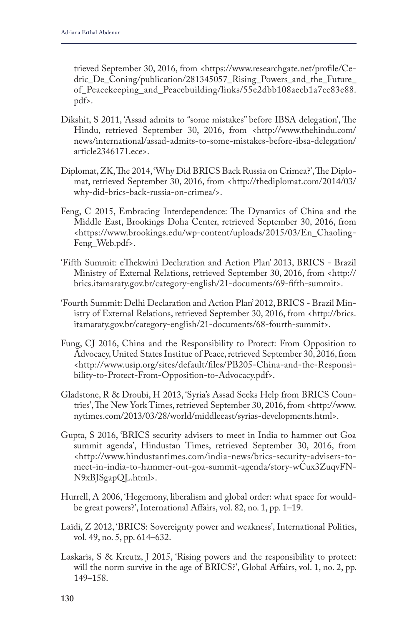trieved September 30, 2016, from <https://www.researchgate.net/profile/Cedric\_De\_Coning/publication/281345057\_Rising\_Powers\_and\_the\_Future\_ of\_Peacekeeping\_and\_Peacebuilding/links/55e2dbb108aecb1a7cc83e88. pdf>.

- Dikshit, S 2011, 'Assad admits to "some mistakes" before IBSA delegation', The Hindu, retrieved September 30, 2016, from <http://www.thehindu.com/ news/international/assad-admits-to-some-mistakes-before-ibsa-delegation/ article2346171.ece>.
- Diplomat, ZK, The 2014, 'Why Did BRICS Back Russia on Crimea?', The Diplomat, retrieved September 30, 2016, from <http://thediplomat.com/2014/03/ why-did-brics-back-russia-on-crimea/>.
- Feng, C 2015, Embracing Interdependence: The Dynamics of China and the Middle East, Brookings Doha Center, retrieved September 30, 2016, from <https://www.brookings.edu/wp-content/uploads/2015/03/En\_Chaoling-Feng\_Web.pdf>.
- 'Fifth Summit: eThekwini Declaration and Action Plan' 2013, BRICS Brazil Ministry of External Relations, retrieved September 30, 2016, from <http:// brics.itamaraty.gov.br/category-english/21-documents/69-fifth-summit>.
- 'Fourth Summit: Delhi Declaration and Action Plan' 2012, BRICS Brazil Ministry of External Relations, retrieved September 30, 2016, from <http://brics. itamaraty.gov.br/category-english/21-documents/68-fourth-summit>.
- Fung, CJ 2016, China and the Responsibility to Protect: From Opposition to Advocacy, United States Institue of Peace, retrieved September 30, 2016, from <http://www.usip.org/sites/default/files/PB205-China-and-the-Responsibility-to-Protect-From-Opposition-to-Advocacy.pdf>.
- Gladstone, R & Droubi, H 2013, 'Syria's Assad Seeks Help from BRICS Countries', The New York Times, retrieved September 30, 2016, from <http://www. nytimes.com/2013/03/28/world/middleeast/syrias-developments.html>.
- Gupta, S 2016, 'BRICS security advisers to meet in India to hammer out Goa summit agenda', Hindustan Times, retrieved September 30, 2016, from <http://www.hindustantimes.com/india-news/brics-security-advisers-tomeet-in-india-to-hammer-out-goa-summit-agenda/story-wCux3ZuqvFN-N9xBJSgapQL.html>.
- Hurrell, A 2006, 'Hegemony, liberalism and global order: what space for wouldbe great powers?', International Affairs, vol. 82, no. 1, pp. 1–19.
- Laïdi, Z 2012, 'BRICS: Sovereignty power and weakness', International Politics, vol. 49, no. 5, pp. 614–632.
- Laskaris, S & Kreutz, J 2015, 'Rising powers and the responsibility to protect: will the norm survive in the age of BRICS?', Global Affairs, vol. 1, no. 2, pp. 149–158.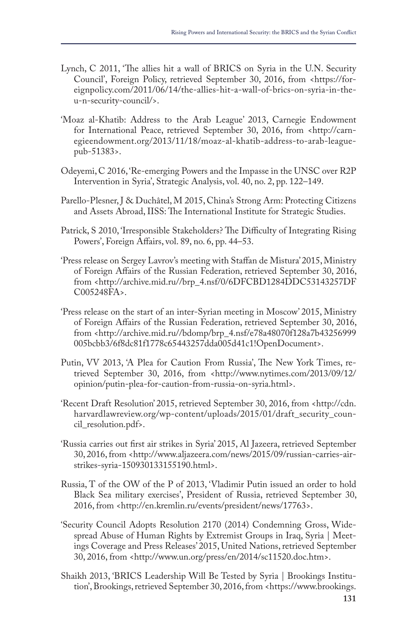- Lynch, C 2011, 'The allies hit a wall of BRICS on Syria in the U.N. Security Council', Foreign Policy, retrieved September 30, 2016, from <https://foreignpolicy.com/2011/06/14/the-allies-hit-a-wall-of-brics-on-syria-in-theu-n-security-council/>.
- 'Moaz al-Khatib: Address to the Arab League' 2013, Carnegie Endowment for International Peace, retrieved September 30, 2016, from <http://carnegieendowment.org/2013/11/18/moaz-al-khatib-address-to-arab-leaguepub-51383>.
- Odeyemi, C 2016, 'Re-emerging Powers and the Impasse in the UNSC over R2P Intervention in Syria', Strategic Analysis, vol. 40, no. 2, pp. 122–149.
- Parello-Plesner, J & Duchâtel, M 2015, China's Strong Arm: Protecting Citizens and Assets Abroad, IISS: The International Institute for Strategic Studies.
- Patrick, S 2010, 'Irresponsible Stakeholders? The Difficulty of Integrating Rising Powers', Foreign Affairs, vol. 89, no. 6, pp. 44–53.
- 'Press release on Sergey Lavrov's meeting with Staffan de Mistura' 2015, Ministry of Foreign Affairs of the Russian Federation, retrieved September 30, 2016, from <http://archive.mid.ru//brp\_4.nsf/0/6DFCBD1284DDC53143257DF C005248FA>.
- 'Press release on the start of an inter-Syrian meeting in Moscow' 2015, Ministry of Foreign Affairs of the Russian Federation, retrieved September 30, 2016, from <http://archive.mid.ru//bdomp/brp\_4.nsf/e78a48070f128a7b43256999 005bcbb3/6f8dc81f1778c65443257dda005d41c1!OpenDocument>.
- Putin, VV 2013, 'A Plea for Caution From Russia', The New York Times, retrieved September 30, 2016, from <http://www.nytimes.com/2013/09/12/ opinion/putin-plea-for-caution-from-russia-on-syria.html>.
- 'Recent Draft Resolution' 2015, retrieved September 30, 2016, from <http://cdn. harvardlawreview.org/wp-content/uploads/2015/01/draft\_security\_council\_resolution.pdf>.
- 'Russia carries out first air strikes in Syria' 2015, Al Jazeera, retrieved September 30, 2016, from <http://www.aljazeera.com/news/2015/09/russian-carries-airstrikes-syria-150930133155190.html>.
- Russia, T of the OW of the P of 2013, 'Vladimir Putin issued an order to hold Black Sea military exercises', President of Russia, retrieved September 30, 2016, from <http://en.kremlin.ru/events/president/news/17763>.
- 'Security Council Adopts Resolution 2170 (2014) Condemning Gross, Widespread Abuse of Human Rights by Extremist Groups in Iraq, Syria | Meetings Coverage and Press Releases' 2015, United Nations, retrieved September 30, 2016, from <http://www.un.org/press/en/2014/sc11520.doc.htm>.
- Shaikh 2013, 'BRICS Leadership Will Be Tested by Syria | Brookings Institution', Brookings, retrieved September 30, 2016, from <https://www.brookings.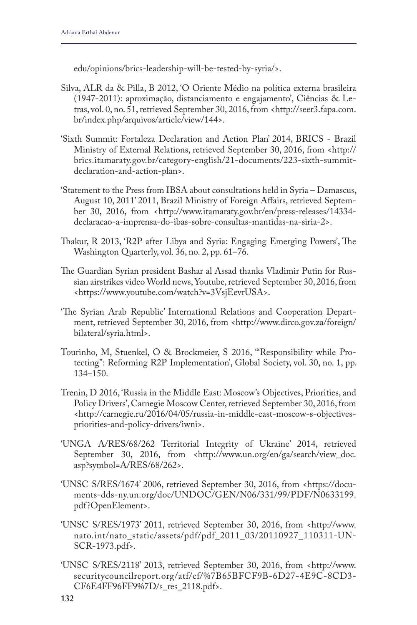edu/opinions/brics-leadership-will-be-tested-by-syria/>.

- Silva, ALR da & Pilla, B 2012, 'O Oriente Médio na política externa brasileira (1947-2011): aproximação, distanciamento e engajamento', Ciências & Letras, vol. 0, no. 51, retrieved September 30, 2016, from <http://seer3.fapa.com. br/index.php/arquivos/article/view/144>.
- 'Sixth Summit: Fortaleza Declaration and Action Plan' 2014, BRICS Brazil Ministry of External Relations, retrieved September 30, 2016, from <http:// brics.itamaraty.gov.br/category-english/21-documents/223-sixth-summitdeclaration-and-action-plan>.
- 'Statement to the Press from IBSA about consultations held in Syria Damascus, August 10, 2011' 2011, Brazil Ministry of Foreign Affairs, retrieved September 30, 2016, from <http://www.itamaraty.gov.br/en/press-releases/14334 declaracao-a-imprensa-do-ibas-sobre-consultas-mantidas-na-siria-2>.
- Thakur, R 2013, 'R2P after Libya and Syria: Engaging Emerging Powers', The Washington Quarterly, vol. 36, no. 2, pp. 61–76.
- The Guardian Syrian president Bashar al Assad thanks Vladimir Putin for Russian airstrikes video World news, Youtube, retrieved September 30, 2016, from <https://www.youtube.com/watch?v=3VsjEevrUSA>.
- 'The Syrian Arab Republic' International Relations and Cooperation Department, retrieved September 30, 2016, from <http://www.dirco.gov.za/foreign/ bilateral/syria.html>.
- Tourinho, M, Stuenkel, O & Brockmeier, S 2016, '"Responsibility while Protecting": Reforming R2P Implementation', Global Society, vol. 30, no. 1, pp. 134–150.
- Trenin, D 2016, 'Russia in the Middle East: Moscow's Objectives, Priorities, and Policy Drivers', Carnegie Moscow Center, retrieved September 30, 2016, from <http://carnegie.ru/2016/04/05/russia-in-middle-east-moscow-s-objectivespriorities-and-policy-drivers/iwni>.
- 'UNGA A/RES/68/262 Territorial Integrity of Ukraine' 2014, retrieved September 30, 2016, from <http://www.un.org/en/ga/search/view\_doc. asp?symbol=A/RES/68/262>.
- 'UNSC S/RES/1674' 2006, retrieved September 30, 2016, from <https://documents-dds-ny.un.org/doc/UNDOC/GEN/N06/331/99/PDF/N0633199. pdf?OpenElement>.
- 'UNSC S/RES/1973' 2011, retrieved September 30, 2016, from <http://www. nato.int/nato\_static/assets/pdf/pdf\_2011\_03/20110927\_110311-UN-SCR-1973.pdf>.
- 'UNSC S/RES/2118' 2013, retrieved September 30, 2016, from <http://www. securitycouncilreport.org/atf/cf/%7B65BFCF9B-6D27-4E9C-8CD3- CF6E4FF96FF9%7D/s\_res\_2118.pdf>.